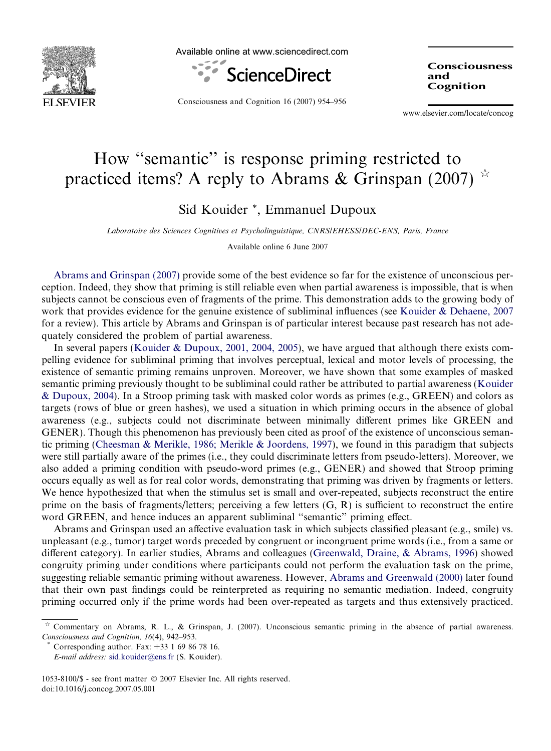

Available online at www.sciencedirect.com



Consciousness and Cognition 16 (2007) 954–956

Consciousness and Cognition

www.elsevier.com/locate/concog

## How ''semantic'' is response priming restricted to practiced items? A reply to Abrams & Grinspan (2007)  $\approx$

Sid Kouider \*, Emmanuel Dupoux

Laboratoire des Sciences Cognitives et Psycholinguistique, CNRS/EHESS/DEC-ENS, Paris, France

Available online 6 June 2007

[Abrams and Grinspan \(2007\)](#page-1-0) provide some of the best evidence so far for the existence of unconscious perception. Indeed, they show that priming is still reliable even when partial awareness is impossible, that is when subjects cannot be conscious even of fragments of the prime. This demonstration adds to the growing body of work that provides evidence for the genuine existence of subliminal influences (see [Kouider & Dehaene, 2007](#page-1-0)) for a review). This article by Abrams and Grinspan is of particular interest because past research has not adequately considered the problem of partial awareness.

In several papers [\(Kouider & Dupoux, 2001, 2004, 2005\)](#page-2-0), we have argued that although there exists compelling evidence for subliminal priming that involves perceptual, lexical and motor levels of processing, the existence of semantic priming remains unproven. Moreover, we have shown that some examples of masked semantic priming previously thought to be subliminal could rather be attributed to partial awareness ([Kouider](#page-2-0) [& Dupoux, 2004](#page-2-0)). In a Stroop priming task with masked color words as primes (e.g., GREEN) and colors as targets (rows of blue or green hashes), we used a situation in which priming occurs in the absence of global awareness (e.g., subjects could not discriminate between minimally different primes like GREEN and GENER). Though this phenomenon has previously been cited as proof of the existence of unconscious semantic priming [\(Cheesman & Merikle, 1986; Merikle & Joordens, 1997](#page-1-0)), we found in this paradigm that subjects were still partially aware of the primes (i.e., they could discriminate letters from pseudo-letters). Moreover, we also added a priming condition with pseudo-word primes (e.g., GENER) and showed that Stroop priming occurs equally as well as for real color words, demonstrating that priming was driven by fragments or letters. We hence hypothesized that when the stimulus set is small and over-repeated, subjects reconstruct the entire prime on the basis of fragments/letters; perceiving a few letters (G, R) is sufficient to reconstruct the entire word GREEN, and hence induces an apparent subliminal ''semantic'' priming effect.

Abrams and Grinspan used an affective evaluation task in which subjects classified pleasant (e.g., smile) vs. unpleasant (e.g., tumor) target words preceded by congruent or incongruent prime words (i.e., from a same or different category). In earlier studies, Abrams and colleagues ([Greenwald, Draine, & Abrams, 1996\)](#page-1-0) showed congruity priming under conditions where participants could not perform the evaluation task on the prime, suggesting reliable semantic priming without awareness. However, [Abrams and Greenwald \(2000\)](#page-1-0) later found that their own past findings could be reinterpreted as requiring no semantic mediation. Indeed, congruity priming occurred only if the prime words had been over-repeated as targets and thus extensively practiced.

Commentary on Abrams, R. L., & Grinspan, J. (2007). Unconscious semantic priming in the absence of partial awareness. Consciousness and Cognition,  $16(4)$ ,  $942-953$ .<br>\* Corresponding author. Fax:  $+33$  1 69 86 78 16.

E-mail address: [sid.kouider@ens.fr](mailto:sid.kouider@ens.fr) (S. Kouider).

<sup>1053-8100/\$ -</sup> see front matter © 2007 Elsevier Inc. All rights reserved. doi:10.1016/j.concog.2007.05.001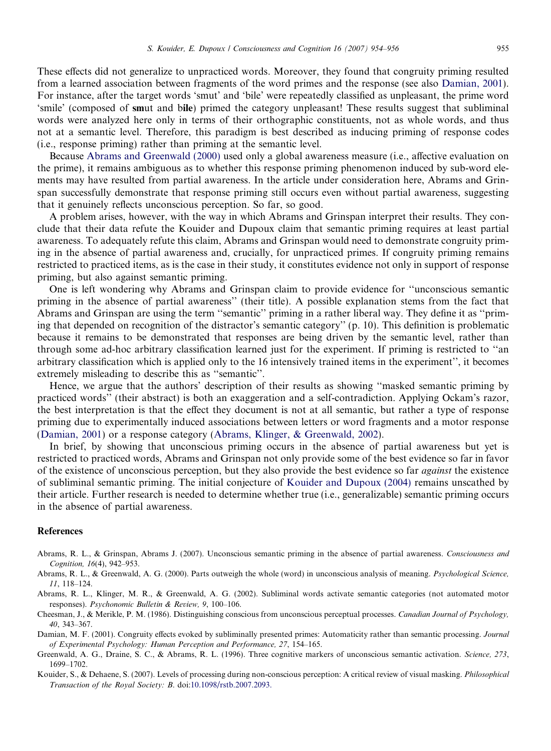<span id="page-1-0"></span>These effects did not generalize to unpracticed words. Moreover, they found that congruity priming resulted from a learned association between fragments of the word primes and the response (see also Damian, 2001). For instance, after the target words 'smut' and 'bile' were repeatedly classified as unpleasant, the prime word 'smile' (composed of smut and bile) primed the category unpleasant! These results suggest that subliminal words were analyzed here only in terms of their orthographic constituents, not as whole words, and thus not at a semantic level. Therefore, this paradigm is best described as inducing priming of response codes (i.e., response priming) rather than priming at the semantic level.

Because Abrams and Greenwald (2000) used only a global awareness measure (i.e., affective evaluation on the prime), it remains ambiguous as to whether this response priming phenomenon induced by sub-word elements may have resulted from partial awareness. In the article under consideration here, Abrams and Grinspan successfully demonstrate that response priming still occurs even without partial awareness, suggesting that it genuinely reflects unconscious perception. So far, so good.

A problem arises, however, with the way in which Abrams and Grinspan interpret their results. They conclude that their data refute the Kouider and Dupoux claim that semantic priming requires at least partial awareness. To adequately refute this claim, Abrams and Grinspan would need to demonstrate congruity priming in the absence of partial awareness and, crucially, for unpracticed primes. If congruity priming remains restricted to practiced items, as is the case in their study, it constitutes evidence not only in support of response priming, but also against semantic priming.

One is left wondering why Abrams and Grinspan claim to provide evidence for ''unconscious semantic priming in the absence of partial awareness'' (their title). A possible explanation stems from the fact that Abrams and Grinspan are using the term ''semantic'' priming in a rather liberal way. They define it as ''priming that depended on recognition of the distractor's semantic category'' (p. 10). This definition is problematic because it remains to be demonstrated that responses are being driven by the semantic level, rather than through some ad-hoc arbitrary classification learned just for the experiment. If priming is restricted to ''an arbitrary classification which is applied only to the 16 intensively trained items in the experiment'', it becomes extremely misleading to describe this as ''semantic''.

Hence, we argue that the authors' description of their results as showing ''masked semantic priming by practiced words'' (their abstract) is both an exaggeration and a self-contradiction. Applying Ockam's razor, the best interpretation is that the effect they document is not at all semantic, but rather a type of response priming due to experimentally induced associations between letters or word fragments and a motor response (Damian, 2001) or a response category (Abrams, Klinger, & Greenwald, 2002).

In brief, by showing that unconscious priming occurs in the absence of partial awareness but yet is restricted to practiced words, Abrams and Grinspan not only provide some of the best evidence so far in favor of the existence of unconscious perception, but they also provide the best evidence so far against the existence of subliminal semantic priming. The initial conjecture of [Kouider and Dupoux \(2004\)](#page-2-0) remains unscathed by their article. Further research is needed to determine whether true (i.e., generalizable) semantic priming occurs in the absence of partial awareness.

## References

- Abrams, R. L., & Grinspan, Abrams J. (2007). Unconscious semantic priming in the absence of partial awareness. Consciousness and Cognition, 16(4), 942–953.
- Abrams, R. L., & Greenwald, A. G. (2000). Parts outweigh the whole (word) in unconscious analysis of meaning. Psychological Science, 11, 118–124.
- Abrams, R. L., Klinger, M. R., & Greenwald, A. G. (2002). Subliminal words activate semantic categories (not automated motor responses). Psychonomic Bulletin & Review, 9, 100–106.
- Cheesman, J., & Merikle, P. M. (1986). Distinguishing conscious from unconscious perceptual processes. Canadian Journal of Psychology, 40, 343–367.
- Damian, M. F. (2001). Congruity effects evoked by subliminally presented primes: Automaticity rather than semantic processing. Journal of Experimental Psychology: Human Perception and Performance, 27, 154–165.
- Greenwald, A. G., Draine, S. C., & Abrams, R. L. (1996). Three cognitive markers of unconscious semantic activation. Science, 273, 1699–1702.
- Kouider, S., & Dehaene, S. (2007). Levels of processing during non-conscious perception: A critical review of visual masking. Philosophical Transaction of the Royal Society: B. doi:[10.1098/rstb.2007.2093.](http://dx.doi.org/10.1098/rstb.2007.2093)